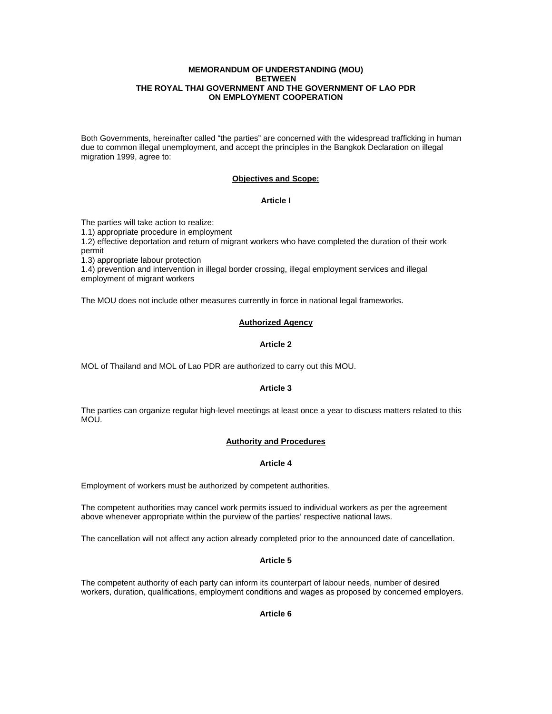### **MEMORANDUM OF UNDERSTANDING (MOU) BETWEEN THE ROYAL THAI GOVERNMENT AND THE GOVERNMENT OF LAO PDR ON EMPLOYMENT COOPERATION**

Both Governments, hereinafter called "the parties" are concerned with the widespread trafficking in human due to common illegal unemployment, and accept the principles in the Bangkok Declaration on illegal migration 1999, agree to:

# **Objectives and Scope:**

# **Article I**

The parties will take action to realize:

1.1) appropriate procedure in employment

1.2) effective deportation and return of migrant workers who have completed the duration of their work permit

1.3) appropriate labour protection

1.4) prevention and intervention in illegal border crossing, illegal employment services and illegal employment of migrant workers

The MOU does not include other measures currently in force in national legal frameworks.

# **Authorized Agency**

# **Article 2**

MOL of Thailand and MOL of Lao PDR are authorized to carry out this MOU.

# **Article 3**

The parties can organize regular high-level meetings at least once a year to discuss matters related to this MOU.

# **Authority and Procedures**

# **Article 4**

Employment of workers must be authorized by competent authorities.

The competent authorities may cancel work permits issued to individual workers as per the agreement above whenever appropriate within the purview of the parties' respective national laws.

The cancellation will not affect any action already completed prior to the announced date of cancellation.

# **Article 5**

The competent authority of each party can inform its counterpart of labour needs, number of desired workers, duration, qualifications, employment conditions and wages as proposed by concerned employers.

# **Article 6**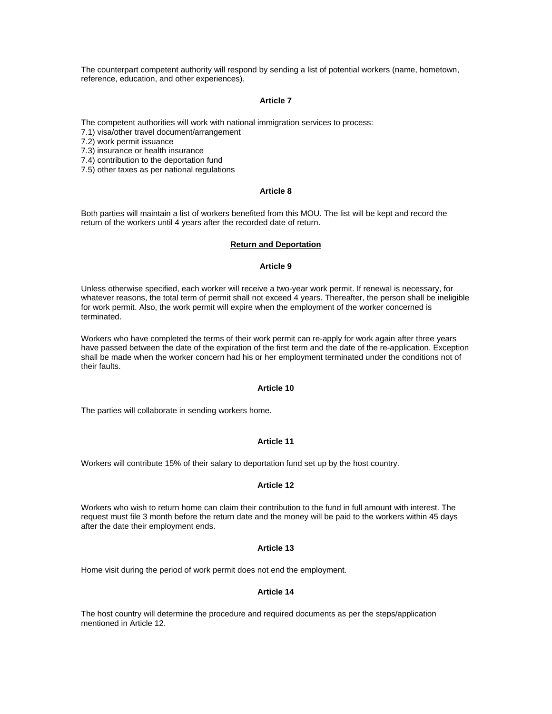The counterpart competent authority will respond by sending a list of potential workers (name, hometown, reference, education, and other experiences).

### **Article 7**

The competent authorities will work with national immigration services to process:

7.1) visa/other travel document/arrangement

7.2) work permit issuance

7.3) insurance or health insurance

7.4) contribution to the deportation fund

7.5) other taxes as per national regulations

### **Article 8**

Both parties will maintain a list of workers benefited from this MOU. The list will be kept and record the return of the workers until 4 years after the recorded date of return.

#### **Return and Deportation**

#### **Article 9**

Unless otherwise specified, each worker will receive a two-year work permit. If renewal is necessary, for whatever reasons, the total term of permit shall not exceed 4 years. Thereafter, the person shall be ineligible for work permit. Also, the work permit will expire when the employment of the worker concerned is terminated.

Workers who have completed the terms of their work permit can re-apply for work again after three years have passed between the date of the expiration of the first term and the date of the re-application. Exception shall be made when the worker concern had his or her employment terminated under the conditions not of their faults.

### **Article 10**

The parties will collaborate in sending workers home.

# **Article 11**

Workers will contribute 15% of their salary to deportation fund set up by the host country.

#### **Article 12**

Workers who wish to return home can claim their contribution to the fund in full amount with interest. The request must file 3 month before the return date and the money will be paid to the workers within 45 days after the date their employment ends.

### **Article 13**

Home visit during the period of work permit does not end the employment.

### **Article 14**

The host country will determine the procedure and required documents as per the steps/application mentioned in Article 12.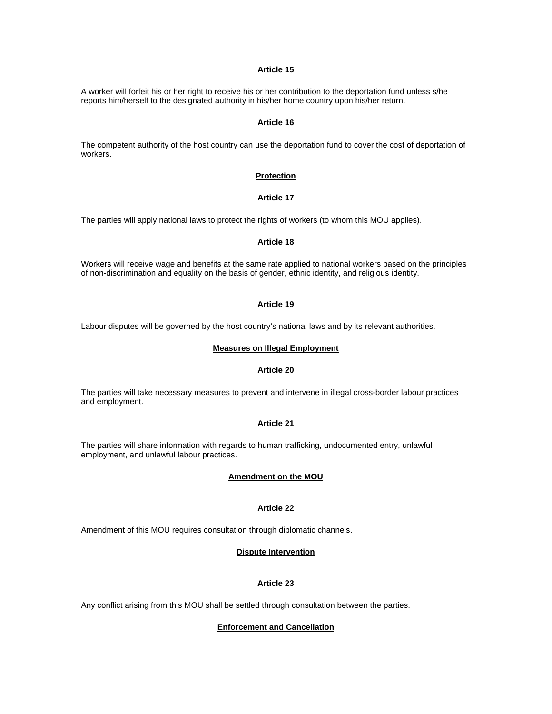# **Article 15**

A worker will forfeit his or her right to receive his or her contribution to the deportation fund unless s/he reports him/herself to the designated authority in his/her home country upon his/her return.

#### **Article 16**

The competent authority of the host country can use the deportation fund to cover the cost of deportation of workers.

### **Protection**

# **Article 17**

The parties will apply national laws to protect the rights of workers (to whom this MOU applies).

#### **Article 18**

Workers will receive wage and benefits at the same rate applied to national workers based on the principles of non-discrimination and equality on the basis of gender, ethnic identity, and religious identity.

#### **Article 19**

Labour disputes will be governed by the host country's national laws and by its relevant authorities.

# **Measures on Illegal Employment**

# **Article 20**

The parties will take necessary measures to prevent and intervene in illegal cross-border labour practices and employment.

## **Article 21**

The parties will share information with regards to human trafficking, undocumented entry, unlawful employment, and unlawful labour practices.

### **Amendment on the MOU**

# **Article 22**

Amendment of this MOU requires consultation through diplomatic channels.

#### **Dispute Intervention**

#### **Article 23**

Any conflict arising from this MOU shall be settled through consultation between the parties.

#### **Enforcement and Cancellation**